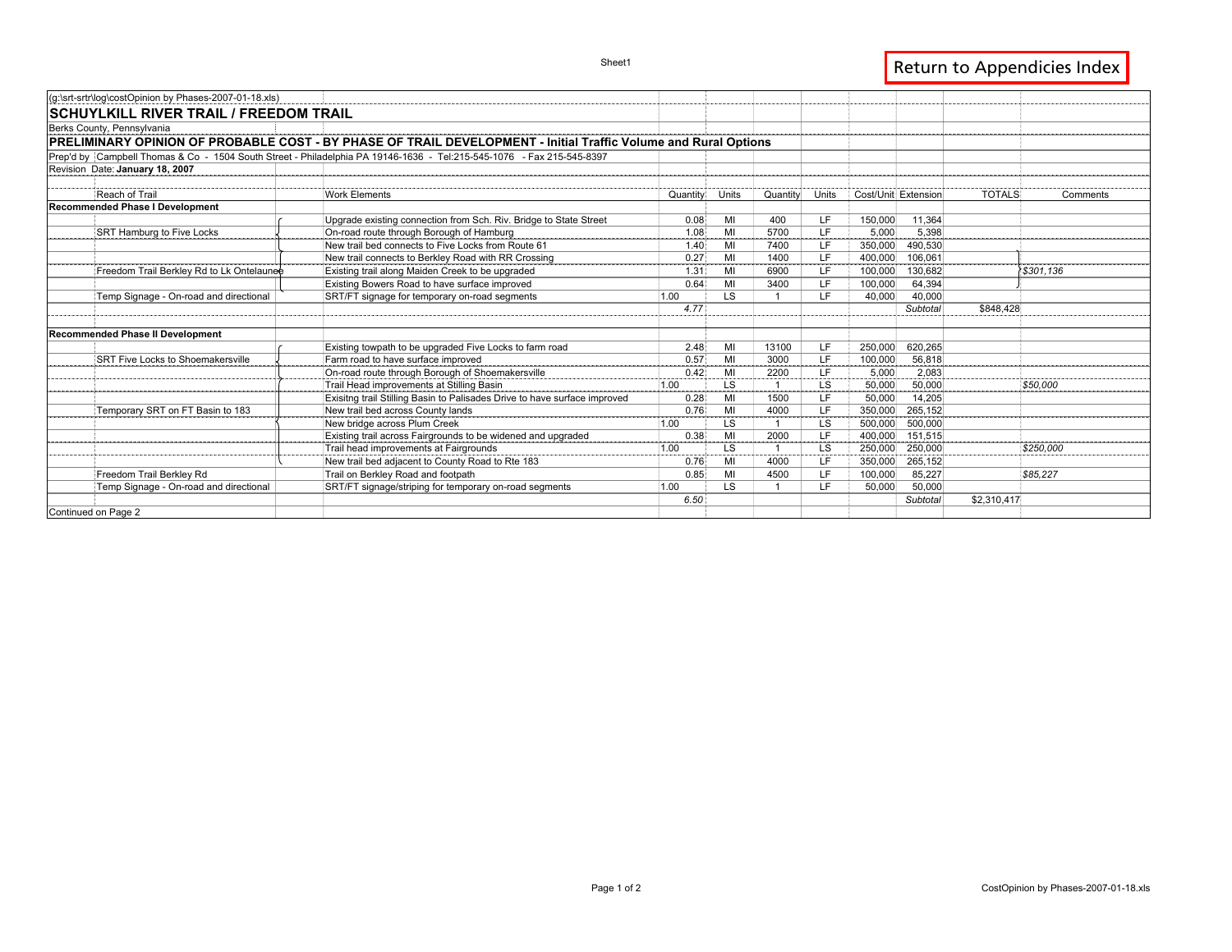| (g:\srt-srtr\log\costOpinion by Phases-2007-01-18.xls) |                                                                                                                       |          |           |                |           |                     |               |           |
|--------------------------------------------------------|-----------------------------------------------------------------------------------------------------------------------|----------|-----------|----------------|-----------|---------------------|---------------|-----------|
| <b>SCHUYLKILL RIVER TRAIL / FREEDOM TRAIL</b>          |                                                                                                                       |          |           |                |           |                     |               |           |
| Berks County, Pennsylvania                             |                                                                                                                       |          |           |                |           |                     |               |           |
|                                                        | PRELIMINARY OPINION OF PROBABLE COST - BY PHASE OF TRAIL DEVELOPMENT - Initial Traffic Volume and Rural Options       |          |           |                |           |                     |               |           |
|                                                        | Prep'd by Campbell Thomas & Co - 1504 South Street - Philadelphia PA 19146-1636 - Tel:215-545-1076 - Fax 215-545-8397 |          |           |                |           |                     |               |           |
| Revision Date: January 18, 2007                        |                                                                                                                       |          |           |                |           |                     |               |           |
|                                                        |                                                                                                                       |          |           |                |           |                     |               |           |
| Reach of Trail                                         | <b>Work Elements</b>                                                                                                  | Quantity | Units     | Quantity       | Units     | Cost/Unit Extension | <b>TOTALS</b> | Comments  |
| Recommended Phase I Development                        |                                                                                                                       |          |           |                |           |                     |               |           |
|                                                        | Upgrade existing connection from Sch. Riv. Bridge to State Street                                                     | 0.08     | MI        | 400            | LF.       | 150,000<br>11.364   |               |           |
| SRT Hamburg to Five Locks                              | On-road route through Borough of Hamburg                                                                              | 1.08     | MI        | 5700           | LF.       | 5.398<br>5.000      |               |           |
|                                                        | New trail bed connects to Five Locks from Route 61                                                                    | 1.40     | MI        | 7400           | LF.       | 490.530<br>350,000  |               |           |
|                                                        | New trail connects to Berkley Road with RR Crossing                                                                   | 0.27     | MI        | 1400           | LF.       | 106.061<br>400.000  |               |           |
| Freedom Trail Berkley Rd to Lk Ontelaunee              | Existing trail along Maiden Creek to be upgraded                                                                      | 1.31     | MI        | 6900           | LF.       | 130.682<br>100,000  |               | 8301.136  |
|                                                        | Existing Bowers Road to have surface improved                                                                         | 0.64     | MI        | 3400           | LF        | 64,394<br>100.000   |               |           |
| Temp Signage - On-road and directional                 | SRT/FT signage for temporary on-road segments                                                                         | 1.00     | LS.       |                | LF        | 40,000<br>40,000    |               |           |
|                                                        |                                                                                                                       | 4.77     |           |                |           | Subtotal            | \$848,428     |           |
|                                                        |                                                                                                                       |          |           |                |           |                     |               |           |
| Recommended Phase II Development                       |                                                                                                                       |          |           |                |           |                     |               |           |
|                                                        | Existing towpath to be upgraded Five Locks to farm road                                                               | 2.48     | MI        | 13100          | LF        | 620,265<br>250,000  |               |           |
| SRT Five Locks to Shoemakersville                      | Farm road to have surface improved                                                                                    | 0.57     | MI        | 3000           | LF.       | 56,818<br>100,000   |               |           |
|                                                        | On-road route through Borough of Shoemakersville                                                                      | 0.42     | MI        | 2200           | LF        | 5.000<br>2,083      |               |           |
|                                                        | Trail Head improvements at Stilling Basin                                                                             | 1.00     | <b>LS</b> | $\overline{1}$ | <b>LS</b> | 50.000<br>50.000    |               | \$50,000  |
|                                                        | Exisitng trail Stilling Basin to Palisades Drive to have surface improved                                             | 0.28     | MI        | 1500           | LF        | 14,205<br>50,000    |               |           |
| Temporary SRT on FT Basin to 183                       | New trail bed across County lands                                                                                     | 0.76     | MI        | 4000           | LF.       | 265,152<br>350,000  |               |           |
|                                                        | New bridge across Plum Creek                                                                                          | 1.00     | <b>LS</b> |                | <b>LS</b> | 500,000<br>500,000  |               |           |
|                                                        | Existing trail across Fairgrounds to be widened and upgraded                                                          | 0.38     | MI        | 2000           | LF.       | 151,515<br>400,000  |               |           |
|                                                        | Trail head improvements at Fairgrounds                                                                                | 1.00     | <b>LS</b> |                | LS        | 250,000<br>250,000  |               | \$250,000 |
|                                                        | New trail bed adjacent to County Road to Rte 183                                                                      | 0.76     | MI        | 4000           | LF        | 265,152<br>350,000  |               |           |
| Freedom Trail Berkley Rd                               | Trail on Berkley Road and footpath                                                                                    | 0.85     | МΙ        | 4500           | LF.       | 85,227<br>100,000   |               | \$85,227  |
| Temp Signage - On-road and directional                 | SRT/FT signage/striping for temporary on-road segments                                                                | 1.00     | <b>LS</b> |                | LF.       | 50,000<br>50,000    |               |           |
|                                                        |                                                                                                                       | 6.50     |           |                |           | Subtotal            | \$2,310,417   |           |
| Continued on Page 2                                    |                                                                                                                       |          |           |                |           |                     |               |           |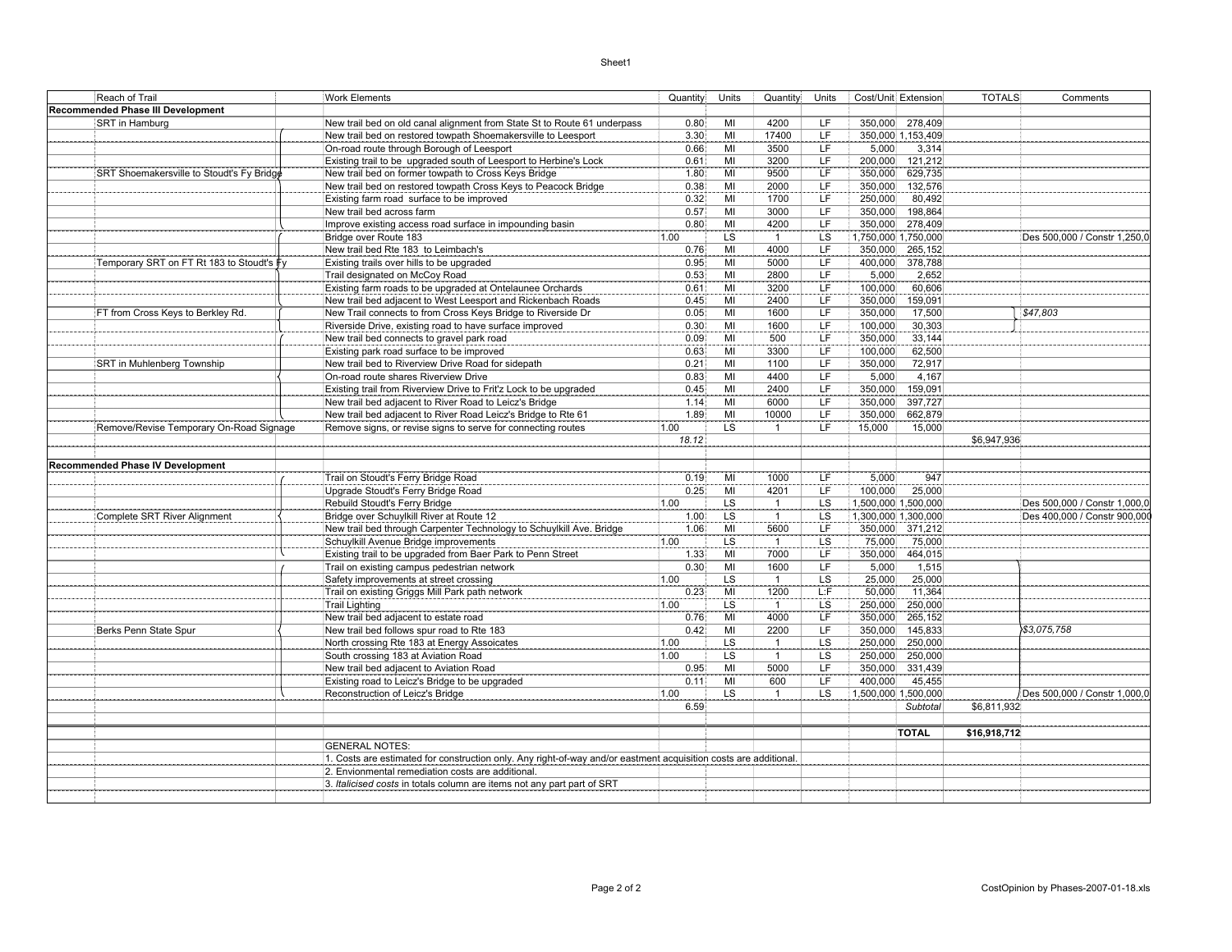## Sheet1

| Reach of Trail                            | <b>Work Elements</b>                                                                                             | Quantity | Units     | Quantity       | Units                    | Cost/Unit Extension | <b>TOTALS</b><br>Comments    |
|-------------------------------------------|------------------------------------------------------------------------------------------------------------------|----------|-----------|----------------|--------------------------|---------------------|------------------------------|
| Recommended Phase III Development         |                                                                                                                  |          |           |                |                          |                     |                              |
| SRT in Hamburg                            | New trail bed on old canal alignment from State St to Route 61 underpass                                         | 0.80     | MI        | 4200           | LF                       | 350,000 278,409     |                              |
|                                           | New trail bed on restored towpath Shoemakersville to Leesport                                                    | 3.30     | MI        | 17400          | $\overline{\mathsf{LF}}$ | 350,000 1,153,409   |                              |
|                                           | On-road route through Borough of Leesport                                                                        | 0.66     | MI        | 3500           | LF                       | 5,000<br>3,314      |                              |
|                                           | Existing trail to be upgraded south of Leesport to Herbine's Lock                                                | 0.61     | MI        | 3200           | $\overline{\mathsf{LF}}$ | 200,000 121,212     |                              |
| SRT Shoemakersville to Stoudt's Fy Bridge | New trail bed on former towpath to Cross Keys Bridge                                                             | 1.80     | MI        | 9500           | LF                       | 629,735<br>350,000  |                              |
|                                           | New trail bed on restored towpath Cross Keys to Peacock Bridge                                                   | 0.38     | MI        | 2000           | LF.                      | 350,000<br>132,576  |                              |
|                                           | Existing farm road surface to be improved                                                                        | 0.32     | MI        | 1700           | LF                       | 250,000<br>80,492   |                              |
|                                           | New trail bed across farm                                                                                        | 0.57     | MI        | 3000           | LF                       | 350,000<br>198,864  |                              |
|                                           | Improve existing access road surface in impounding basin                                                         | 0.80     | MI        | 4200           | ΪF                       | 350,000 278,409     |                              |
|                                           | Bridge over Route 183                                                                                            | 1.00     | LS        | $\overline{1}$ | LS                       | 1,750,000 1,750,000 | Des 500,000 / Constr 1,250,0 |
|                                           | New trail bed Rte 183 to Leimbach's                                                                              | 0.76     | MI        | 4000           | LF                       | 350,000 265,152     |                              |
| Temporary SRT on FT Rt 183 to Stoudt's ∲y | Existing trails over hills to be upgraded                                                                        | 0.95     | MI        | 5000           | LF                       | 400,000<br>378,788  |                              |
|                                           | Trail designated on McCoy Road                                                                                   | 0.53     | MI        | 2800           | LF                       | 5,000<br>2,652      |                              |
|                                           | Existing farm roads to be upgraded at Ontelaunee Orchards                                                        | 0.61     | MI        | 3200           | ΪF                       | 100,000<br>60,606   |                              |
|                                           | New trail bed adjacent to West Leesport and Rickenbach Roads                                                     | 0.45     | MI        | 2400           | LF.                      | 350,000<br>159,091  |                              |
| FT from Cross Keys to Berkley Rd.         | New Trail connects to from Cross Keys Bridge to Riverside Dr                                                     | 0.05     | MI        | 1600           | LF                       | 350,000<br>17,500   | \$47,803                     |
|                                           | Riverside Drive, existing road to have surface improved                                                          | 0.30     | MI        | 1600           | LF                       | 30,303<br>100,000   |                              |
|                                           | New trail bed connects to gravel park road                                                                       | 0.09     | MI        | 500            | ΪF                       | 350,000<br>33,144   |                              |
|                                           | Existing park road surface to be improved                                                                        | 0.63     | MI        | 3300           | LF                       | 100,000<br>62,500   |                              |
| SRT in Muhlenberg Township                | New trail bed to Riverview Drive Road for sidepath                                                               | 0.21     | MI        | 1100           | LF                       | 350,000<br>72,917   |                              |
|                                           | On-road route shares Riverview Drive                                                                             | 0.83     | MI        | 4400           | ΪF                       | 5,000<br>4,167      |                              |
|                                           |                                                                                                                  |          |           |                | LF.                      |                     |                              |
|                                           | Existing trail from Riverview Drive to Frit'z Lock to be upgraded                                                | 0.45     | MI        | 2400           |                          | 350,000<br>159,091  |                              |
|                                           | New trail bed adjacent to River Road to Leicz's Bridge                                                           | 1.14     | MI        | 6000           | LF                       | 350,000<br>397,727  |                              |
|                                           | New trail bed adjacent to River Road Leicz's Bridge to Rte 61                                                    | 1.89     | MI        | 10000          | $\overline{\mathsf{LF}}$ | 350,000<br>662,879  |                              |
| Remove/Revise Temporary On-Road Signage   | Remove signs, or revise signs to serve for connecting routes                                                     | 1.00     | LS        | $\mathbf{1}$   | LF.                      | 15,000<br>15,000    |                              |
|                                           |                                                                                                                  | 18.12    |           |                |                          |                     | \$6,947.936                  |
|                                           |                                                                                                                  |          |           |                |                          |                     |                              |
| <b>Recommended Phase IV Development</b>   | Trail on Stoudt's Ferry Bridge Road                                                                              | 0.19     | MI        | 1000           | LF                       | 5,000<br>947        |                              |
|                                           |                                                                                                                  | 0.25     | MI        | 4201           | ΪF                       | 100,000<br>25,000   |                              |
|                                           | Upgrade Stoudt's Ferry Bridge Road                                                                               | 1.00     | LS        |                | LS                       | 1,500,000 1,500,000 | Des 500.000 / Constr 1.000.0 |
|                                           | Rebuild Stoudt's Ferry Bridge                                                                                    |          |           | $\mathbf{1}$   |                          |                     |                              |
| Complete SRT River Alignment              | Bridge over Schuylkill River at Route 12                                                                         | 1.00     | LS        | $\overline{1}$ | LS                       | 1,300,000 1,300,000 | Des 400,000 / Constr 900,00  |
|                                           | New trail bed through Carpenter Technology to Schuylkill Ave. Bridge                                             | 1.06     | MI        | 5600           | LF                       | 350,000 371,212     |                              |
|                                           | Schuylkill Avenue Bridge improvements                                                                            | 1.00     | <b>LS</b> | $\overline{1}$ | LS                       | 75,000<br>75,000    |                              |
|                                           | Existing trail to be upgraded from Baer Park to Penn Street                                                      | 1.33     | MI        | 7000           | <b>LF</b>                | 464,015<br>350,000  |                              |
|                                           | Trail on existing campus pedestrian network                                                                      | 0.30     | MI        | 1600           | LF                       | 5,000<br>1,515      |                              |
|                                           | Safety improvements at street crossing                                                                           | 1.00     | LS        | $\overline{1}$ | LS                       | 25,000<br>25,000    |                              |
|                                           | Trail on existing Griggs Mill Park path network                                                                  | 0.23     | MI        | 1200           | L:F                      | 11,364<br>50,000    |                              |
|                                           | <b>Trail Lighting</b>                                                                                            | 1.00     | LS        | $\overline{1}$ | $\overline{\text{LS}}$   | 250,000<br>250,000  |                              |
|                                           | New trail bed adjacent to estate road                                                                            | 0.76     | MI        | 4000           | LF.                      | 265,152<br>350,000  |                              |
| Berks Penn State Spur                     | New trail bed follows spur road to Rte 183                                                                       | 0.42     | MI        | 2200           | LF                       | 350,000<br>145,833  | \$3,075,758                  |
|                                           | North crossing Rte 183 at Energy Assoicates                                                                      | 1.00     | <b>LS</b> | $\overline{1}$ | LS                       | 250,000<br>250,000  |                              |
|                                           | South crossing 183 at Aviation Road                                                                              | 1.00     | LS        | $\overline{1}$ | LS                       | 250,000<br>250,000  |                              |
|                                           | New trail bed adjacent to Aviation Road                                                                          | 0.95     | MI        | 5000           | LF                       | 350,000 331,439     |                              |
|                                           | Existing road to Leicz's Bridge to be upgraded                                                                   | 0.11     | MI        | 600            | LF                       | 400,000<br>45,455   |                              |
|                                           | Reconstruction of Leicz's Bridge                                                                                 | 1.00     | LS.       | $\overline{1}$ | LS                       | 1,500,000 1,500,000 | Des 500,000 / Constr 1,000,0 |
|                                           |                                                                                                                  | 6.59     |           |                |                          | <b>Subtotal</b>     | \$6,811,932                  |
|                                           |                                                                                                                  |          |           |                |                          |                     |                              |
|                                           |                                                                                                                  |          |           |                |                          | <b>TOTAL</b>        | \$16,918,712                 |
|                                           | <b>GENERAL NOTES:</b>                                                                                            |          |           |                |                          |                     |                              |
|                                           | 1. Costs are estimated for construction only. Any right-of-way and/or eastment acquisition costs are additional. |          |           |                |                          |                     |                              |
|                                           | 2. Envionmental remediation costs are additional.                                                                |          |           |                |                          |                     |                              |
|                                           | 3. Italicised costs in totals column are items not any part part of SRT                                          |          |           |                |                          |                     |                              |
|                                           |                                                                                                                  |          |           |                |                          |                     |                              |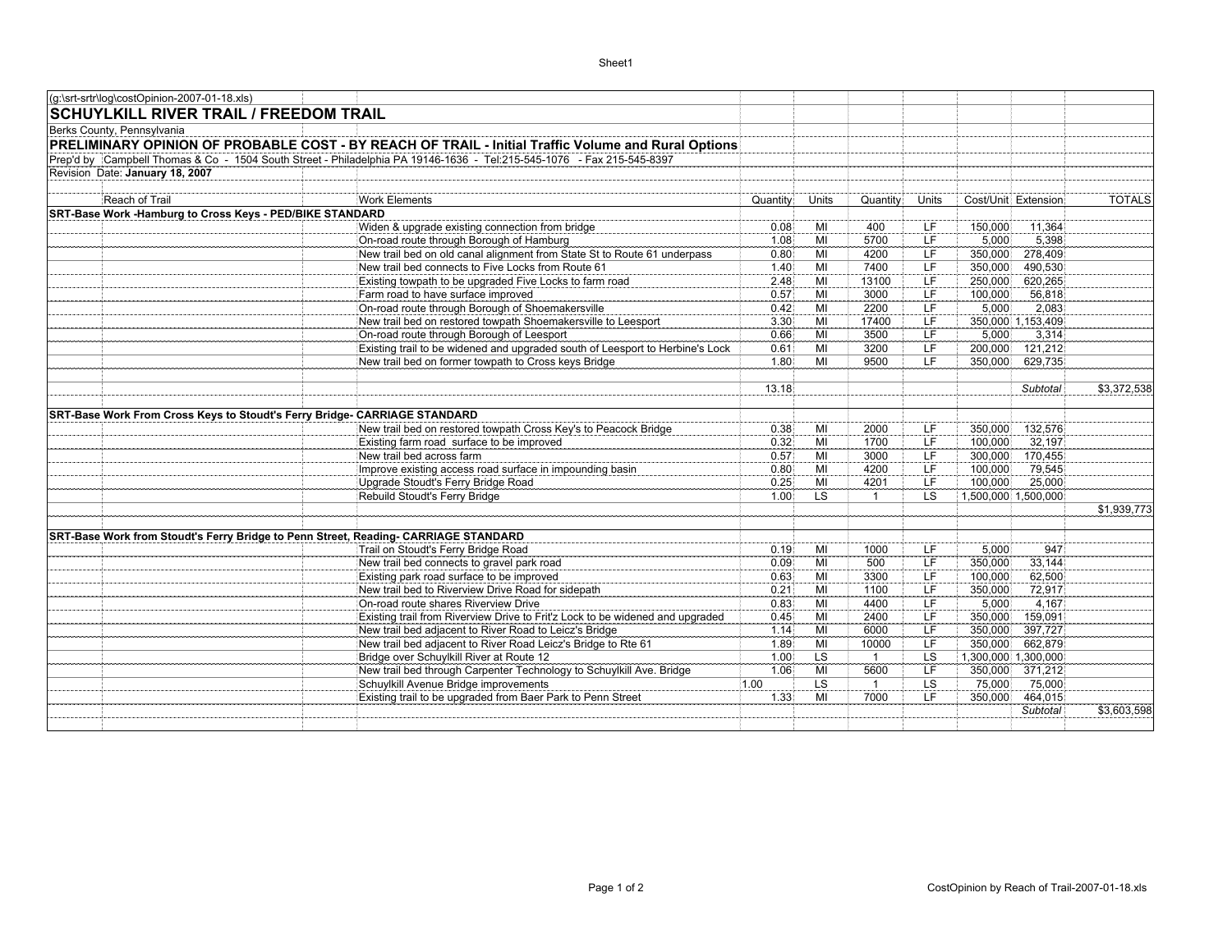| (g:\srt-srtr\log\costOpinion-2007-01-18.xls)                                        |                                                                                                                       |              |                 |                        |                 |                                           |               |
|-------------------------------------------------------------------------------------|-----------------------------------------------------------------------------------------------------------------------|--------------|-----------------|------------------------|-----------------|-------------------------------------------|---------------|
| <b>SCHUYLKILL RIVER TRAIL / FREEDOM TRAIL</b>                                       |                                                                                                                       |              |                 |                        |                 |                                           |               |
| Berks County, Pennsylvania                                                          |                                                                                                                       |              |                 |                        |                 |                                           |               |
|                                                                                     | PRELIMINARY OPINION OF PROBABLE COST - BY REACH OF TRAIL - Initial Traffic Volume and Rural Options                   |              |                 |                        |                 |                                           |               |
|                                                                                     | Prep'd by Campbell Thomas & Co - 1504 South Street - Philadelphia PA 19146-1636 - Tel:215-545-1076 - Fax 215-545-8397 |              |                 |                        |                 |                                           |               |
| Revision Date: January 18, 2007                                                     |                                                                                                                       |              |                 |                        |                 |                                           |               |
|                                                                                     |                                                                                                                       |              |                 |                        |                 |                                           |               |
| Reach of Trail                                                                      | Work Elements                                                                                                         | Quantity     | <b>Units</b>    | Quantity               | Units           | Cost/Unit Extension                       | <b>TOTALS</b> |
| SRT-Base Work -Hamburg to Cross Keys - PED/BIKE STANDARD                            |                                                                                                                       |              |                 |                        |                 |                                           |               |
|                                                                                     | Widen & upgrade existing connection from bridge                                                                       | 0.08         | MI              | 400                    | LF              | 11,364<br>150,000                         |               |
|                                                                                     | On-road route through Borough of Hamburg                                                                              | 1.08         | MI              | 5700                   | <b>LF</b>       | 5.000<br>5.398                            |               |
|                                                                                     | New trail bed on old canal alignment from State St to Route 61 underpass                                              | 0.80         | MI              | 4200                   | LF              | 278,409<br>350,000                        |               |
|                                                                                     | New trail bed connects to Five Locks from Route 61                                                                    | 1.40         | MI              | 7400                   | LF              | 490,530<br>350,000                        |               |
|                                                                                     | Existing towpath to be upgraded Five Locks to farm road                                                               | 2.48         | MI              | 13100                  | ΪF              | 620,265<br>250,000                        |               |
|                                                                                     | Farm road to have surface improved                                                                                    | 0.57         | MI              | 3000                   | LF              | 100,000<br>56,818                         |               |
|                                                                                     | On-road route through Borough of Shoemakersville<br>New trail bed on restored towpath Shoemakersville to Leesport     | 0.42         | MI              | 2200                   | LF              | 5.000<br>2,083<br>350,000 1,153,409       |               |
|                                                                                     | On-road route through Borough of Leesport                                                                             | 3.30         | MI              | 17400                  | LF<br>LF        | 3,314                                     |               |
|                                                                                     | Existing trail to be widened and upgraded south of Leesport to Herbine's Lock                                         | 0.66<br>0.61 | MI<br>MI        | 3500<br>3200           | LF              | 5,000<br>200,000<br>121,212               |               |
|                                                                                     | New trail bed on former towpath to Cross keys Bridge                                                                  | 1.80         | MI              | 9500                   | LF              | 350,000<br>629,735                        |               |
|                                                                                     |                                                                                                                       |              |                 |                        |                 |                                           |               |
|                                                                                     |                                                                                                                       | 13.18        |                 |                        |                 | Subtotal                                  | \$3,372,538   |
|                                                                                     |                                                                                                                       |              |                 |                        |                 |                                           |               |
| SRT-Base Work From Cross Keys to Stoudt's Ferry Bridge- CARRIAGE STANDARD           |                                                                                                                       |              |                 |                        |                 |                                           |               |
|                                                                                     | New trail bed on restored towpath Cross Key's to Peacock Bridge                                                       | 0.38         | MI              | 2000                   | LF              | 350,000<br>132,576                        |               |
|                                                                                     | Existing farm road surface to be improved                                                                             | 0.32         | MI              | 1700                   | ΪF              | 100,000<br>32,197                         |               |
|                                                                                     | New trail bed across farm                                                                                             | 0.57         | MI              | 3000                   | LF              | 300,000<br>170,455                        |               |
|                                                                                     | Improve existing access road surface in impounding basin                                                              | 0.80         | MI              | 4200                   | LF              | 100,000<br>79,545                         |               |
|                                                                                     | Upgrade Stoudt's Ferry Bridge Road                                                                                    | 0.25         | $\overline{M}$  | 4201                   | <b>LF</b>       | 25,000<br>100,000                         |               |
|                                                                                     | Rebuild Stoudt's Ferry Bridge                                                                                         | 1.00         | LS              | $\mathbf{1}$           | LS              | 1,500,000 1,500,000                       |               |
|                                                                                     |                                                                                                                       |              |                 |                        |                 |                                           | \$1,939,773   |
|                                                                                     |                                                                                                                       |              |                 |                        |                 |                                           |               |
| SRT-Base Work from Stoudt's Ferry Bridge to Penn Street, Reading- CARRIAGE STANDARD |                                                                                                                       |              |                 |                        |                 |                                           |               |
|                                                                                     | Trail on Stoudt's Ferry Bridge Road                                                                                   | 0.19         | MI              | 1000                   | LF.             | 5.000<br>947                              |               |
|                                                                                     | New trail bed connects to gravel park road                                                                            | 0.09         | MI              | 500                    | LF              | 350,000<br>33,144                         |               |
|                                                                                     | Existing park road surface to be improved                                                                             | 0.63         | MI              | 3300                   | LF              | 100,000<br>62,500                         |               |
|                                                                                     | New trail bed to Riverview Drive Road for sidepath                                                                    | 0.21         | MI              | 1100                   | LF              | 72,917<br>350,000                         |               |
|                                                                                     | On-road route shares Riverview Drive                                                                                  | 0.83         | MI              | 4400                   | LF              | 4,167<br>5,000                            |               |
|                                                                                     | Existing trail from Riverview Drive to Frit'z Lock to be widened and upgraded                                         | 0.45         | MI              | 2400                   | <b>LF</b>       | 350,000<br>159,091                        |               |
|                                                                                     | New trail bed adjacent to River Road to Leicz's Bridge                                                                | 1.14         | MI              | 6000                   | <b>LF</b>       | 350,000<br>397,727                        |               |
|                                                                                     | New trail bed adjacent to River Road Leicz's Bridge to Rte 61                                                         | 1.89         | MI              | 10000                  | <b>LF</b>       | 350,000<br>662,879                        |               |
|                                                                                     | Bridge over Schuylkill River at Route 12                                                                              | 1.00<br>1.06 | <b>LS</b><br>MI | $\overline{1}$<br>5600 | LS<br><b>LF</b> | 1,300,000 1,300,000<br>350,000<br>371,212 |               |
|                                                                                     | New trail bed through Carpenter Technology to Schuylkill Ave. Bridge<br>Schuylkill Avenue Bridge improvements         | 1.00         | L <sub>S</sub>  | $\mathbf{1}$           | <b>LS</b>       | 75,000<br>75,000                          |               |
|                                                                                     | Existing trail to be upgraded from Baer Park to Penn Street                                                           | 1.33         | MI              | 7000                   | LF              | 350,000<br>464,015                        |               |
|                                                                                     |                                                                                                                       |              |                 |                        |                 | Subtotal                                  | \$3,603,598   |
|                                                                                     |                                                                                                                       |              |                 |                        |                 |                                           |               |
|                                                                                     |                                                                                                                       |              |                 |                        |                 |                                           |               |